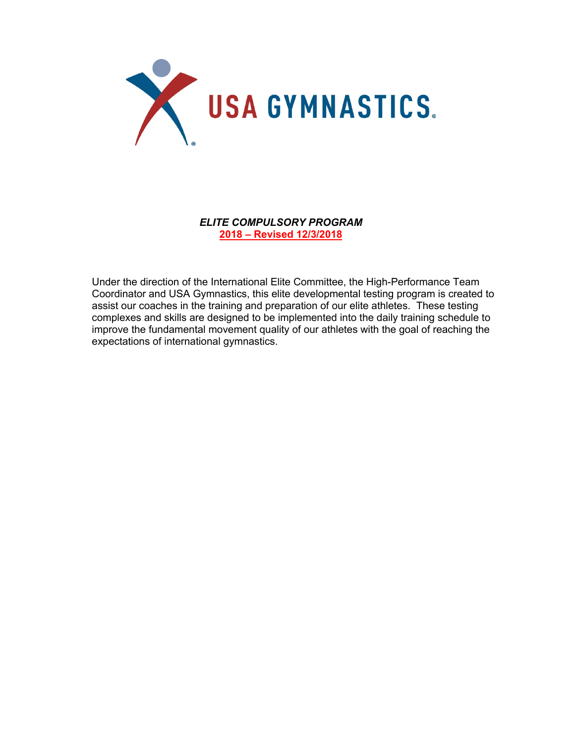

*ELITE COMPULSORY PROGRAM* **2018 – Revised 12/3/2018**

Under the direction of the International Elite Committee, the High-Performance Team Coordinator and USA Gymnastics, this elite developmental testing program is created to assist our coaches in the training and preparation of our elite athletes. These testing complexes and skills are designed to be implemented into the daily training schedule to improve the fundamental movement quality of our athletes with the goal of reaching the expectations of international gymnastics.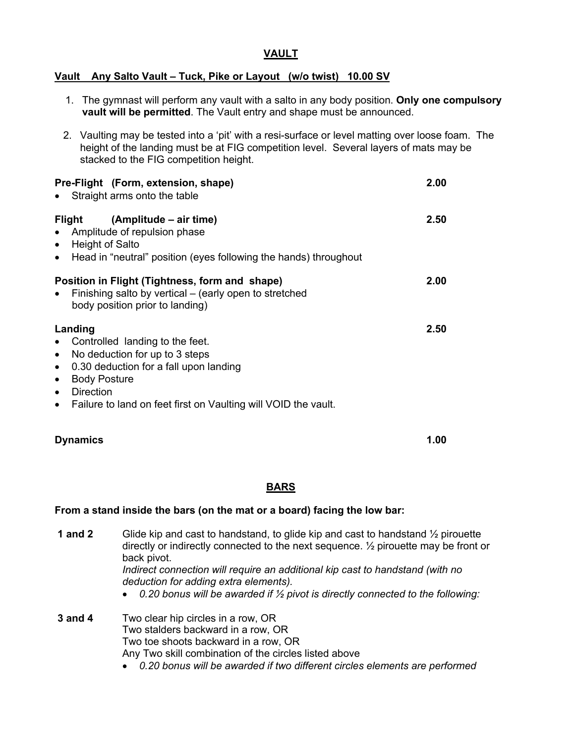## **VAULT**

## **Vault Any Salto Vault – Tuck, Pike or Layout (w/o twist) 10.00 SV**

- 1. The gymnast will perform any vault with a salto in any body position. **Only one compulsory vault will be permitted**. The Vault entry and shape must be announced.
- 2. Vaulting may be tested into a 'pit' with a resi-surface or level matting over loose foam. The height of the landing must be at FIG competition level. Several layers of mats may be stacked to the FIG competition height.

| Pre-Flight (Form, extension, shape)<br>• Straight arms onto the table                                                                                                                                                                                                                                             | 2.00 |
|-------------------------------------------------------------------------------------------------------------------------------------------------------------------------------------------------------------------------------------------------------------------------------------------------------------------|------|
| Flight<br>(Amplitude – air time)<br>Amplitude of repulsion phase<br>$\bullet$<br><b>Height of Salto</b><br>$\bullet$<br>Head in "neutral" position (eyes following the hands) throughout<br>$\bullet$                                                                                                             | 2.50 |
| Position in Flight (Tightness, form and shape)<br>Finishing salto by vertical – (early open to stretched<br>body position prior to landing)                                                                                                                                                                       | 2.00 |
| Landing<br>Controlled landing to the feet.<br>$\bullet$<br>No deduction for up to 3 steps<br>$\bullet$<br>0.30 deduction for a fall upon landing<br>$\bullet$<br><b>Body Posture</b><br>$\bullet$<br><b>Direction</b><br>$\bullet$<br>Failure to land on feet first on Vaulting will VOID the vault.<br>$\bullet$ | 2.50 |

## **Dynamics 1.00**

## **BARS**

#### **From a stand inside the bars (on the mat or a board) facing the low bar:**

**1 and 2** Glide kip and cast to handstand, to glide kip and cast to handstand ½ pirouette directly or indirectly connected to the next sequence. ½ pirouette may be front or back pivot.

*Indirect connection will require an additional kip cast to handstand (with no deduction for adding extra elements).* 

• *0.20 bonus will be awarded if ½ pivot is directly connected to the following:*

**3 and 4** Two clear hip circles in a row, OR Two stalders backward in a row, OR Two toe shoots backward in a row, OR Any Two skill combination of the circles listed above

• *0.20 bonus will be awarded if two different circles elements are performed*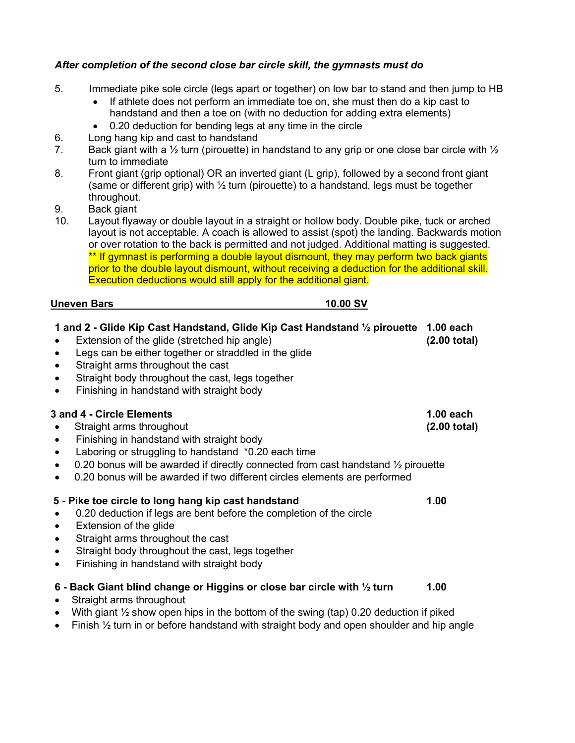## *After completion of the second close bar circle skill, the gymnasts must do*

- 5. Immediate pike sole circle (legs apart or together) on low bar to stand and then jump to HB
	- If athlete does not perform an immediate toe on, she must then do a kip cast to handstand and then a toe on (with no deduction for adding extra elements)
	- 0.20 deduction for bending legs at any time in the circle
- 6. Long hang kip and cast to handstand
- 7. Back giant with a  $\frac{1}{2}$  turn (pirouette) in handstand to any grip or one close bar circle with  $\frac{1}{2}$ turn to immediate
- 8. Front giant (grip optional) OR an inverted giant (L grip), followed by a second front giant (same or different grip) with  $\frac{1}{2}$  turn (pirouette) to a handstand, legs must be together throughout.
- 9. Back giant
- 10. Layout flyaway or double layout in a straight or hollow body. Double pike, tuck or arched layout is not acceptable. A coach is allowed to assist (spot) the landing. Backwards motion or over rotation to the back is permitted and not judged. Additional matting is suggested. \*\* If gymnast is performing a double layout dismount, they may perform two back giants prior to the double layout dismount, without receiving a deduction for the additional skill. Execution deductions would still apply for the additional giant.

## **Uneven Bars** 10.00 SV

| 1 and 2 - Glide Kip Cast Handstand, Glide Kip Cast Handstand 1/2 pirouette 1.00 each<br>Extension of the glide (stretched hip angle)<br>Legs can be either together or straddled in the glide<br>Straight arms throughout the cast<br>$\bullet$<br>Straight body throughout the cast, legs together<br>$\bullet$<br>Finishing in handstand with straight body<br>$\bullet$                     | $(2.00 \text{ total})$                |
|------------------------------------------------------------------------------------------------------------------------------------------------------------------------------------------------------------------------------------------------------------------------------------------------------------------------------------------------------------------------------------------------|---------------------------------------|
| 3 and 4 - Circle Elements<br>Straight arms throughout<br>$\bullet$<br>Finishing in handstand with straight body<br>$\bullet$<br>Laboring or struggling to handstand *0.20 each time<br>$\bullet$<br>0.20 bonus will be awarded if directly connected from cast handstand 1/2 pirouette<br>$\bullet$<br>0.20 bonus will be awarded if two different circles elements are performed<br>$\bullet$ | $1.00$ each<br>$(2.00 \text{ total})$ |
| 5 - Pike toe circle to long hang kip cast handstand<br>0.20 deduction if legs are bent before the completion of the circle<br>Extension of the glide<br>$\bullet$<br>Straight arms throughout the cast<br>Straight body throughout the cast, legs together<br>$\bullet$<br>Finishing in handstand with straight body<br>$\bullet$                                                              | 1.00                                  |
| 6 - Back Giant blind change or Higgins or close bar circle with 1/2 turn<br>Straight arms throughout<br>$\bullet$<br>With giant $\frac{1}{2}$ show open hips in the bottom of the swing (tap) 0.20 deduction if piked<br>$\bullet$                                                                                                                                                             | 1.00                                  |

• Finish  $\frac{1}{2}$  turn in or before handstand with straight body and open shoulder and hip angle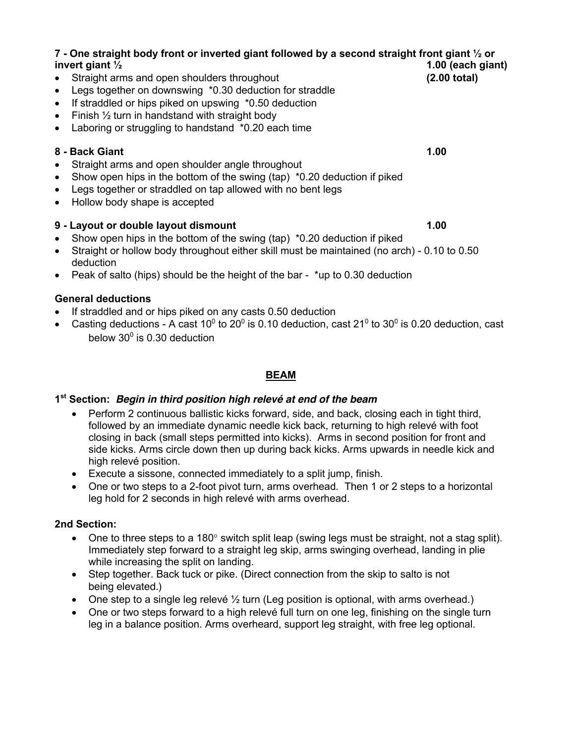| 7 - One straight body front or inverted giant followed by a second straight front giant 1/2 or                               |                   |  |
|------------------------------------------------------------------------------------------------------------------------------|-------------------|--|
| invert giant $\frac{1}{2}$                                                                                                   | 1.00 (each giant) |  |
| Straight arms and open shoulders throughout<br>$\bullet$                                                                     | (2.00 total)      |  |
| Legs together on downswing *0.30 deduction for straddle                                                                      |                   |  |
| If straddled or hips piked on upswing *0.50 deduction<br>$\bullet$                                                           |                   |  |
| Finish $\frac{1}{2}$ turn in handstand with straight body<br>$\bullet$                                                       |                   |  |
| Laboring or struggling to handstand *0.20 each time<br>$\bullet$                                                             |                   |  |
| 8 - Back Giant                                                                                                               | 1.00              |  |
| Straight arms and open shoulder angle throughout<br>$\bullet$                                                                |                   |  |
| Show open hips in the bottom of the swing (tap) *0.20 deduction if piked                                                     |                   |  |
| Legs together or straddled on tap allowed with no bent legs<br>$\bullet$                                                     |                   |  |
| Hollow body shape is accepted<br>$\bullet$                                                                                   |                   |  |
| 9 - Layout or double layout dismount                                                                                         | 1.00              |  |
| Show open hips in the bottom of the swing (tap) *0.20 deduction if piked<br>$\bullet$                                        |                   |  |
| $O$ tusi alati su kallarri kashi thasi rakariti sithan shill murat ka masjutain salifusi susk $\lambda$ = 0,40 to 0,50 $\mu$ |                   |  |

- Straight or hollow body throughout either skill must be maintained (no arch) 0.10 to 0.50 deduction
- Peak of salto (hips) should be the height of the bar  $*$ up to 0.30 deduction

## **General deductions**

- If straddled and or hips piked on any casts 0.50 deduction
- Casting deductions A cast 10<sup>0</sup> to 20<sup>0</sup> is 0.10 deduction, cast 21<sup>0</sup> to 30<sup>0</sup> is 0.20 deduction, cast below  $30^0$  is 0.30 deduction

# **BEAM**

## **1st Section:** *Begin in third position high relevé at end of the beam*

- Perform 2 continuous ballistic kicks forward, side, and back, closing each in tight third, followed by an immediate dynamic needle kick back, returning to high relevé with foot closing in back (small steps permitted into kicks). Arms in second position for front and side kicks. Arms circle down then up during back kicks. Arms upwards in needle kick and high relevé position.
- Execute a sissone, connected immediately to a split jump, finish.
- One or two steps to a 2-foot pivot turn, arms overhead*.* Then 1 or 2 steps to a horizontal leg hold for 2 seconds in high relevé with arms overhead.

# **2nd Section:**

- One to three steps to a 180° switch split leap (swing legs must be straight, not a stag split). Immediately step forward to a straight leg skip, arms swinging overhead, landing in plie while increasing the split on landing.
- Step together. Back tuck or pike. (Direct connection from the skip to salto is not being elevated.)
- One step to a single leg relevé  $\frac{1}{2}$  turn (Leg position is optional, with arms overhead.)
- One or two steps forward to a high relevé full turn on one leg, finishing on the single turn leg in a balance position. Arms overheard, support leg straight, with free leg optional.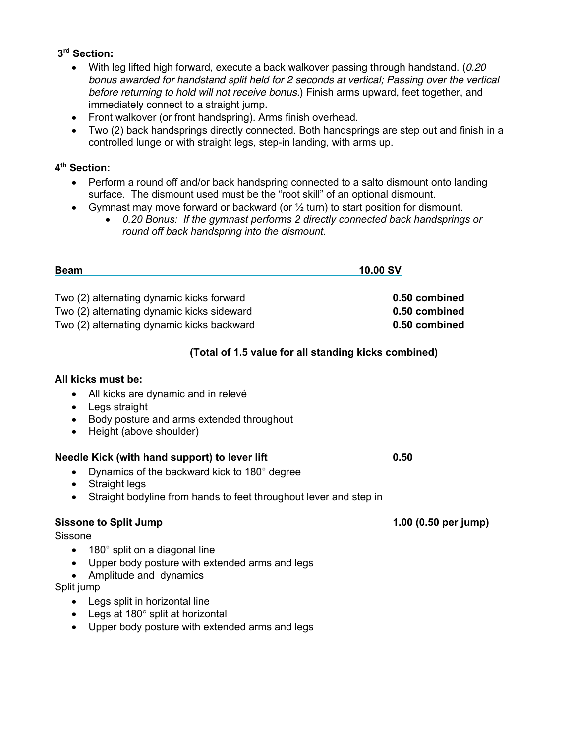## **3rd Section:**

- With leg lifted high forward, execute a back walkover passing through handstand. (*0.20 bonus awarded for handstand split held for 2 seconds at vertical; Passing over the vertical before returning to hold will not receive bonus.*) Finish arms upward, feet together, and immediately connect to a straight jump.
- Front walkover (or front handspring). Arms finish overhead.
- Two (2) back handsprings directly connected. Both handsprings are step out and finish in a controlled lunge or with straight legs, step-in landing, with arms up.

## **4th Section:**

- Perform a round off and/or back handspring connected to a salto dismount onto landing surface. The dismount used must be the "root skill" of an optional dismount.
- Gymnast may move forward or backward (or  $\frac{1}{2}$  turn) to start position for dismount.
	- *0.20 Bonus: If the gymnast performs 2 directly connected back handsprings or round off back handspring into the dismount.*

| <b>Beam</b>                                | 10.00 SV      |  |
|--------------------------------------------|---------------|--|
| Two (2) alternating dynamic kicks forward  | 0.50 combined |  |
| Two (2) alternating dynamic kicks sideward | 0.50 combined |  |
| Two (2) alternating dynamic kicks backward | 0.50 combined |  |

## **(Total of 1.5 value for all standing kicks combined)**

## **All kicks must be:**

- All kicks are dynamic and in relevé
- Legs straight
- Body posture and arms extended throughout
- Height (above shoulder)

#### **Needle Kick (with hand support) to lever lift 1.400 CMS 0.50**

- Dynamics of the backward kick to 180° degree
- Straight legs
- Straight bodyline from hands to feet throughout lever and step in

## **Sissone to Split Jump 1.00 (0.50 per jump)**

#### Sissone

- 180° split on a diagonal line
- Upper body posture with extended arms and legs
- Amplitude and dynamics

### Split jump

- Legs split in horizontal line
- Legs at 180° split at horizontal
- Upper body posture with extended arms and legs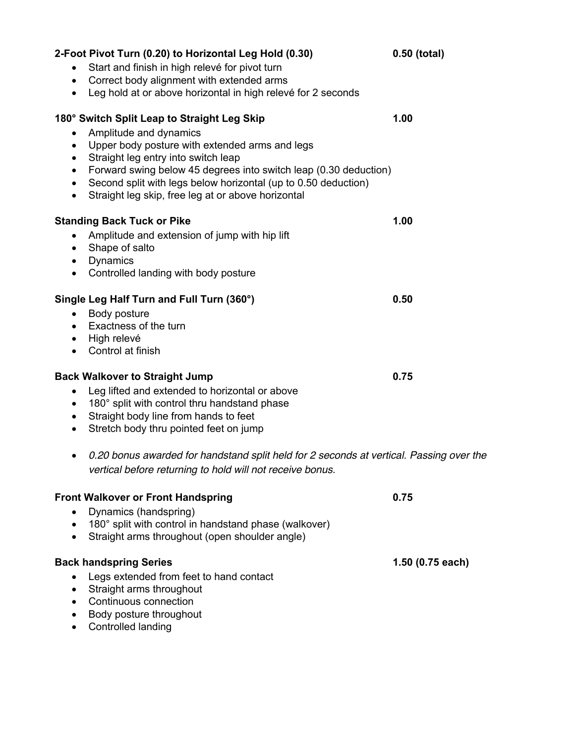| 2-Foot Pivot Turn (0.20) to Horizontal Leg Hold (0.30)<br>Start and finish in high relevé for pivot turn<br>Correct body alignment with extended arms<br>$\bullet$<br>Leg hold at or above horizontal in high relevé for 2 seconds<br>$\bullet$                                                                                                                                                                                          | 0.50 (total)     |
|------------------------------------------------------------------------------------------------------------------------------------------------------------------------------------------------------------------------------------------------------------------------------------------------------------------------------------------------------------------------------------------------------------------------------------------|------------------|
| 180° Switch Split Leap to Straight Leg Skip<br>Amplitude and dynamics<br>$\bullet$<br>Upper body posture with extended arms and legs<br>$\bullet$<br>Straight leg entry into switch leap<br>$\bullet$<br>Forward swing below 45 degrees into switch leap (0.30 deduction)<br>$\bullet$<br>Second split with legs below horizontal (up to 0.50 deduction)<br>$\bullet$<br>Straight leg skip, free leg at or above horizontal<br>$\bullet$ | 1.00             |
| <b>Standing Back Tuck or Pike</b><br>Amplitude and extension of jump with hip lift<br>$\bullet$<br>Shape of salto<br>$\bullet$<br>Dynamics<br>$\bullet$<br>Controlled landing with body posture<br>$\bullet$                                                                                                                                                                                                                             | 1.00             |
| Single Leg Half Turn and Full Turn (360°)<br>Body posture<br>$\bullet$<br>Exactness of the turn<br>$\bullet$<br>High relevé<br>$\bullet$<br>Control at finish                                                                                                                                                                                                                                                                            | 0.50             |
| <b>Back Walkover to Straight Jump</b><br>Leg lifted and extended to horizontal or above<br>$\bullet$<br>180° split with control thru handstand phase<br>$\bullet$<br>Straight body line from hands to feet<br>$\bullet$<br>Stretch body thru pointed feet on jump<br>٠                                                                                                                                                                   | 0.75             |
| 0.20 bonus awarded for handstand split held for 2 seconds at vertical. Passing over the<br>vertical before returning to hold will not receive bonus.                                                                                                                                                                                                                                                                                     |                  |
| <b>Front Walkover or Front Handspring</b><br>Dynamics (handspring)<br>180° split with control in handstand phase (walkover)<br>Straight arms throughout (open shoulder angle)                                                                                                                                                                                                                                                            | 0.75             |
| <b>Back handspring Series</b><br>Legs extended from feet to hand contact<br>Straight arms throughout<br>$\bullet$<br>Continuous connection<br>Body posture throughout<br>Controlled landing                                                                                                                                                                                                                                              | 1.50 (0.75 each) |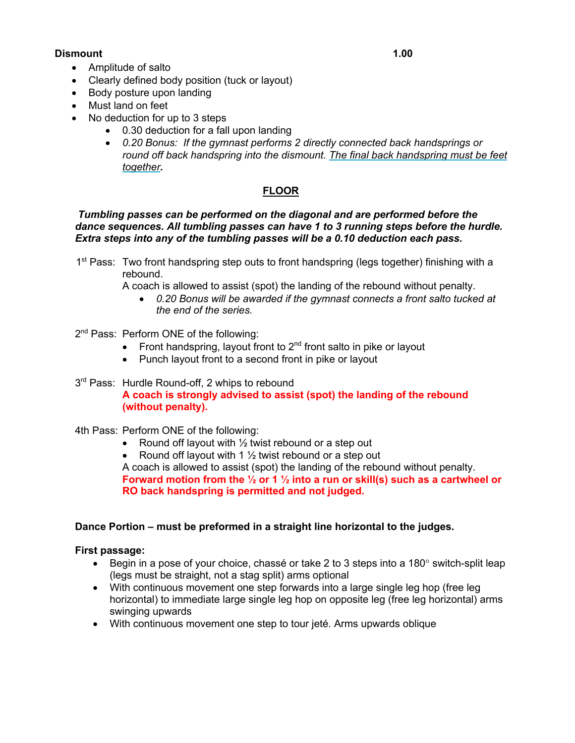### **Dismount 1.00**

- Amplitude of salto
- Clearly defined body position (tuck or layout)
- Body posture upon landing
- Must land on feet
- No deduction for up to 3 steps
	- 0.30 deduction for a fall upon landing
	- *0.20 Bonus: If the gymnast performs 2 directly connected back handsprings or round off back handspring into the dismount. The final back handspring must be feet together.*

# **FLOOR**

#### *Tumbling passes can be performed on the diagonal and are performed before the dance sequences. All tumbling passes can have 1 to 3 running steps before the hurdle. Extra steps into any of the tumbling passes will be a 0.10 deduction each pass.*

1<sup>st</sup> Pass: Two front handspring step outs to front handspring (legs together) finishing with a rebound.

A coach is allowed to assist (spot) the landing of the rebound without penalty.

- *0.20 Bonus will be awarded if the gymnast connects a front salto tucked at the end of the series.*
- 2<sup>nd</sup> Pass: Perform ONE of the following:
	- Front handspring, layout front to  $2<sup>nd</sup>$  front salto in pike or layout
	- Punch layout front to a second front in pike or layout
- 3<sup>rd</sup> Pass: Hurdle Round-off, 2 whips to rebound **A coach is strongly advised to assist (spot) the landing of the rebound (without penalty).**
- 4th Pass: Perform ONE of the following:
	- Round off layout with  $\frac{1}{2}$  twist rebound or a step out
	- Round off layout with 1 1/<sub>2</sub> twist rebound or a step out

A coach is allowed to assist (spot) the landing of the rebound without penalty. **Forward motion from the ½ or 1 ½ into a run or skill(s) such as a cartwheel or RO back handspring is permitted and not judged.**

#### **Dance Portion – must be preformed in a straight line horizontal to the judges.**

#### **First passage:**

- Begin in a pose of your choice, chassé or take 2 to 3 steps into a 180° switch-split leap (legs must be straight, not a stag split) arms optional
- With continuous movement one step forwards into a large single leg hop (free leg horizontal) to immediate large single leg hop on opposite leg (free leg horizontal) arms swinging upwards
- With continuous movement one step to tour jeté. Arms upwards oblique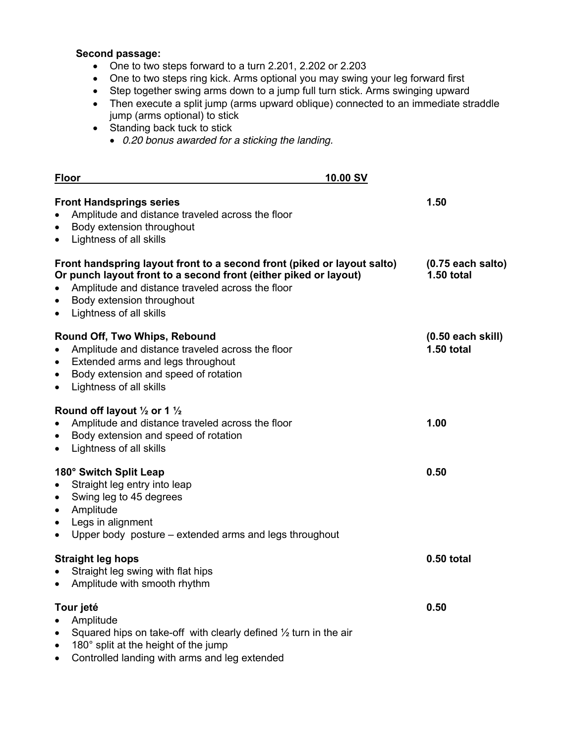# **Second passage:**

- One to two steps forward to a turn 2.201, 2.202 or 2.203
- One to two steps ring kick. Arms optional you may swing your leg forward first
- Step together swing arms down to a jump full turn stick. Arms swinging upward
- Then execute a split jump (arms upward oblique) connected to an immediate straddle jump (arms optional) to stick
- Standing back tuck to stick
	- *0.20 bonus awarded for a sticking the landing.*

| 10.00 SV<br><b>Floor</b>                                                                                                                                                                                                                                                                       |                                          |
|------------------------------------------------------------------------------------------------------------------------------------------------------------------------------------------------------------------------------------------------------------------------------------------------|------------------------------------------|
| <b>Front Handsprings series</b><br>Amplitude and distance traveled across the floor<br>$\bullet$<br>Body extension throughout<br>$\bullet$<br>Lightness of all skills<br>$\bullet$                                                                                                             | 1.50                                     |
| Front handspring layout front to a second front (piked or layout salto)<br>Or punch layout front to a second front (either piked or layout)<br>Amplitude and distance traveled across the floor<br>$\bullet$<br>Body extension throughout<br>$\bullet$<br>Lightness of all skills<br>$\bullet$ | $(0.75$ each salto)<br><b>1.50 total</b> |
| Round Off, Two Whips, Rebound<br>Amplitude and distance traveled across the floor<br>$\bullet$<br>Extended arms and legs throughout<br>$\bullet$<br>Body extension and speed of rotation<br>$\bullet$<br>Lightness of all skills<br>$\bullet$                                                  | $(0.50$ each skill)<br><b>1.50 total</b> |
| Round off layout $\frac{1}{2}$ or 1 $\frac{1}{2}$<br>Amplitude and distance traveled across the floor<br>$\bullet$<br>Body extension and speed of rotation<br>$\bullet$<br>Lightness of all skills<br>$\bullet$                                                                                | 1.00                                     |
| 180° Switch Split Leap<br>Straight leg entry into leap<br>$\bullet$<br>Swing leg to 45 degrees<br>$\bullet$<br>Amplitude<br>$\bullet$<br>Legs in alignment<br>$\bullet$<br>Upper body posture – extended arms and legs throughout<br>$\bullet$                                                 | 0.50                                     |
| <b>Straight leg hops</b><br>Straight leg swing with flat hips<br>$\bullet$<br>Amplitude with smooth rhythm<br>$\bullet$                                                                                                                                                                        | 0.50 total                               |
| Tour jeté<br>Amplitude<br>$\bullet$<br>Squared hips on take-off with clearly defined $\frac{1}{2}$ turn in the air<br>$\bullet$<br>180° split at the height of the jump<br>$\bullet$<br>Controlled landing with arms and leg extended<br>$\bullet$                                             | 0.50                                     |